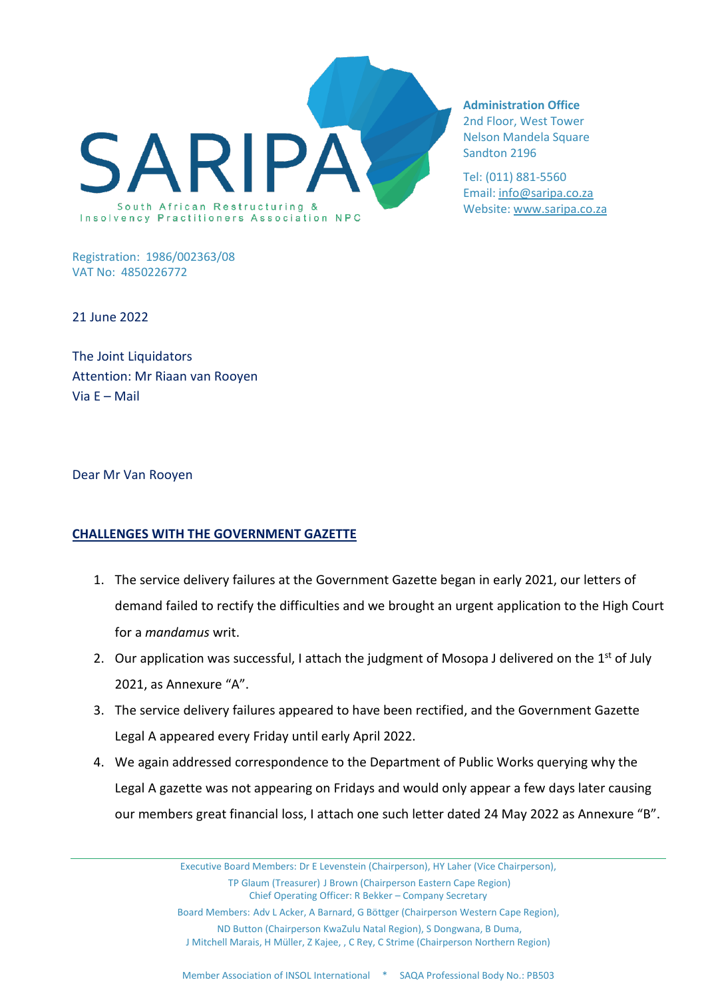

**Administration Office**  2nd Floor, West Tower Nelson Mandela Square

Sandton 2196

Tel: (011) 881-5560 Email: [info@saripa.co.za](mailto:%20info@saripa.co.za) Website: [www.saripa.co.za](http://www.saripa.co.za/)

Registration: 1986/002363/08 VAT No: 4850226772

21 June 2022

The Joint Liquidators Attention: Mr Riaan van Rooyen Via E – Mail

Dear Mr Van Rooyen

## **CHALLENGES WITH THE GOVERNMENT GAZETTE**

- 1. The service delivery failures at the Government Gazette began in early 2021, our letters of demand failed to rectify the difficulties and we brought an urgent application to the High Court for a *mandamus* writ.
- 2. Our application was successful, I attach the judgment of Mosopa J delivered on the  $1<sup>st</sup>$  of July 2021, as Annexure "A".
- 3. The service delivery failures appeared to have been rectified, and the Government Gazette Legal A appeared every Friday until early April 2022.
- 4. We again addressed correspondence to the Department of Public Works querying why the Legal A gazette was not appearing on Fridays and would only appear a few days later causing our members great financial loss, I attach one such letter dated 24 May 2022 as Annexure "B".

Executive Board Members: Dr E Levenstein (Chairperson), HY Laher (Vice Chairperson), TP Glaum (Treasurer) J Brown (Chairperson Eastern Cape Region) Chief Operating Officer: R Bekker – Company Secretary Board Members: Adv L Acker, A Barnard, G Böttger (Chairperson Western Cape Region), ND Button (Chairperson KwaZulu Natal Region), S Dongwana, B Duma, J Mitchell Marais, H Müller, Z Kajee, , C Rey, C Strime (Chairperson Northern Region)